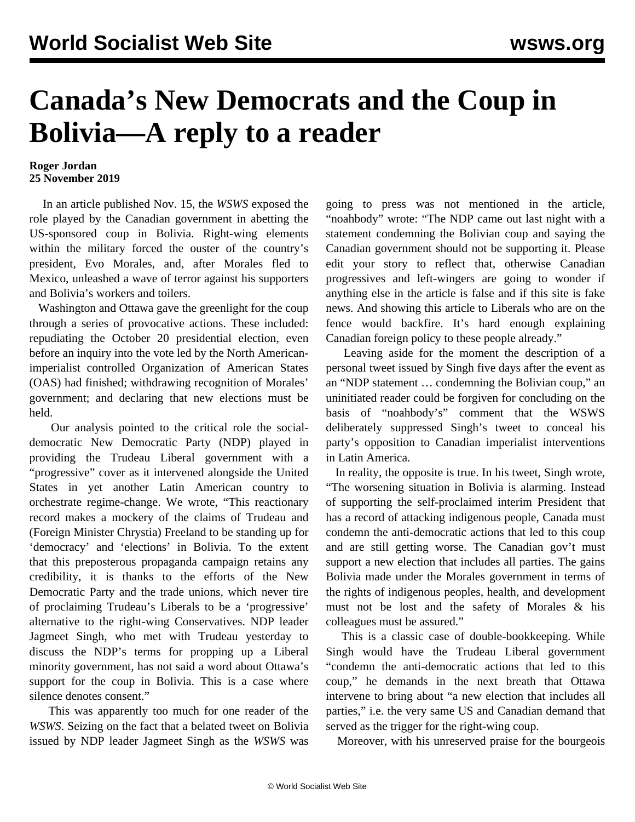## **Canada's New Democrats and the Coup in Bolivia—A reply to a reader**

## **Roger Jordan 25 November 2019**

 In an article published Nov. 15, the *WSWS* exposed the role played by the Canadian government in abetting the US-sponsored coup in Bolivia. Right-wing elements within the military forced the ouster of the country's president, Evo Morales, and, after Morales fled to Mexico, unleashed a wave of terror against his supporters and Bolivia's workers and toilers.

 Washington and Ottawa gave the greenlight for the coup through a series of provocative actions. These included: repudiating the October 20 presidential election, even before an inquiry into the vote led by the North Americanimperialist controlled Organization of American States (OAS) had finished; withdrawing recognition of Morales' government; and declaring that new elections must be held.

 Our analysis pointed to the critical role the socialdemocratic New Democratic Party (NDP) played in providing the Trudeau Liberal government with a "progressive" cover as it intervened alongside the United States in yet another Latin American country to orchestrate regime-change. [We wrote](/en/articles/2019/11/15/cabo-n15.html), "This reactionary record makes a mockery of the claims of Trudeau and (Foreign Minister Chrystia) Freeland to be standing up for 'democracy' and 'elections' in Bolivia. To the extent that this preposterous propaganda campaign retains any credibility, it is thanks to the efforts of the New Democratic Party and the trade unions, which never tire of proclaiming Trudeau's Liberals to be a 'progressive' alternative to the right-wing Conservatives. NDP leader Jagmeet Singh, who met with Trudeau yesterday to discuss the NDP's terms for propping up a Liberal minority government, has not said a word about Ottawa's support for the coup in Bolivia. This is a case where silence denotes consent."

 This was apparently too much for one reader of the *WSWS*. Seizing on the fact that a belated tweet on Bolivia issued by NDP leader Jagmeet Singh as the *WSWS* was going to press was not mentioned in the article, "noahbody" wrote: "The NDP came out last night with a statement condemning the Bolivian coup and saying the Canadian government should not be supporting it. Please edit your story to reflect that, otherwise Canadian progressives and left-wingers are going to wonder if anything else in the article is false and if this site is fake news. And showing this article to Liberals who are on the fence would backfire. It's hard enough explaining Canadian foreign policy to these people already."

 Leaving aside for the moment the description of a personal tweet issued by Singh five days after the event as an "NDP statement … condemning the Bolivian coup," an uninitiated reader could be forgiven for concluding on the basis of "noahbody's" comment that the WSWS deliberately suppressed Singh's tweet to conceal his party's opposition to Canadian imperialist interventions in Latin America.

 In reality, the opposite is true. In his tweet, Singh wrote, "The worsening situation in Bolivia is alarming. Instead of supporting the self-proclaimed interim President that has a record of attacking indigenous people, Canada must condemn the anti-democratic actions that led to this coup and are still getting worse. The Canadian gov't must support a new election that includes all parties. The gains Bolivia made under the Morales government in terms of the rights of indigenous peoples, health, and development must not be lost and the safety of Morales & his colleagues must be assured."

 This is a classic case of double-bookkeeping. While Singh would have the Trudeau Liberal government "condemn the anti-democratic actions that led to this coup," he demands in the next breath that Ottawa intervene to bring about "a new election that includes all parties," i.e. the very same US and Canadian demand that served as the trigger for the right-wing coup.

Moreover, with his unreserved praise for the bourgeois